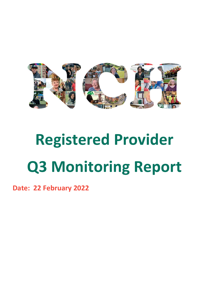

# **Registered Provider Q3 Monitoring Report**

**Date: 22 February 2022**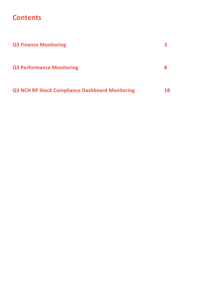#### **Contents**

| <b>Q3 Finance Monitoring</b>                           |    |
|--------------------------------------------------------|----|
| <b>Q3 Performance Monitoring</b>                       | 8  |
| <b>Q3 NCH RP Stock Compliance Dashboard Monitoring</b> | 18 |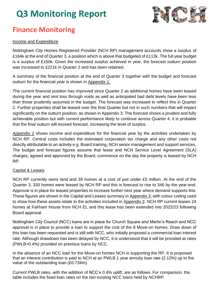

### **Finance Monitoring**

#### Income and Expenditure

Nottingham City Homes Registered Provider (NCH RP) management accounts show a surplus of £164k at the end of Quarter 3, a position which is above that budgeted of £113k. The full year budget is a surplus of £150k. Given the increased surplus achieved in year, the forecast outturn position was increased to £221k in Quarter 2 and has been retained.

A summary of the financial position at the end of Quarter 3 together with the budget and forecast outturn for the financial year is shown in Appendix 1.

The current financial position has improved since Quarter 2 as additional homes have been leased during the year and rent loss through voids as well as anticipated bad debt levels have been less than those prudently assumed in the budget. The forecast was increased to reflect this in Quarter 2. Further properties shall be leased over the final Quarter but not in such numbers that will impact significantly on the outturn position, as shown in Appendix 3. The forecast shows a prudent and fully achievable position but with current performance likely to continue across Quarter 4, it is probable that the final outturn will exceed forecast, increasing the level of surplus.

Appendix 2 shows income and expenditure for the financial year by the activities undertaken by NCH RP. Central costs includes the estimated corporation tax charge and any other costs not directly attributable to an activity e.g. Board training, NCH senior management and support services. The budget and forecast figures assume that lease and NCH Service Level Agreement (SLA) charges, agreed and approved by the Board, commence on the day the property is leased by NCH RP.

#### Capital & Leases

NCH RP currently owns land and 39 homes at a cost of just under £5 million. At the end of the Quarter 3, 330 homes were leased by NCH RP and this is forecast to rise to 346 by the year-end. Approval is in place for leased properties to increase further next year where demand supports this. These figures are shown in the Capital and Leases summary in Appendix 3, with colour coding used to show how these assets relate to the activities included in Appendix 2. NCH RP current leases 24 homes at Fairham House from NCH EL and this lease has been extended into 2022/23 following Board approval.

Nottingham City Council (NCC) loans are in place for Church Square and Martin's Reach and NCC approval is in place to provide a loan to support the cost of the 8 Move-on homes. Draw down of this loan has been requested and is still with NCC, who initially proposed a commercial loan interest rate. Although drawdown has been delayed by NCC, it is understood that it will be provided at rates (PWLB+0.4%) provided on previous loans by NCC.

In the absence of an NCC loan for the Move-on homes NCH is supporting the RP. It is proposed that an interest contribution is paid to NCH at an PWLB 1 year annuity loan rate (2.12%) up to the value of the outstanding loan (£0.734m).

Current PWLB rates, with the addition of NCC's 0.4% uplift, are as follows. For comparison, the table includes the fixed loan rates on the two existing NCC loans held by NCHRP.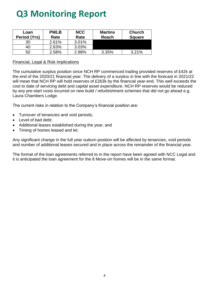| Loan<br>Period (Yrs) | <b>PWLB</b><br>Rate | <b>NCC</b><br>Rate | <b>Martins</b><br>Reach | <b>Church</b><br><b>Square</b> |
|----------------------|---------------------|--------------------|-------------------------|--------------------------------|
| 30                   | 2.61%               | 3.01%              |                         |                                |
| 40                   | 2.63%               | 3.03%              |                         |                                |
| 50                   | 2.58%               | 2.98%              | 3.35%                   | 3.21%                          |

#### Financial, Legal & Risk Implications

The cumulative surplus position since NCH RP commenced trading provided reserves of £42k at the end of the 2020/21 financial year. The delivery of a surplus in line with the forecast in 2021/22 will mean that NCH RP will hold reserves of £263k by the financial year-end. This well exceeds the cost to date of servicing debt and capital asset expenditure. NCH RP reserves would be reduced by any pre-start costs incurred on new build / refurbishment schemes that did not go ahead e.g. Laura Chambers Lodge.

The current risks in relation to the Company's financial position are:

- Turnover of tenancies and void periods;
- Level of bad debt;
- Additional leases established during the year; and
- Timing of homes leased and let.

Any significant change in the full year outturn position will be affected by tenancies, void periods and number of additional leases secured and in place across the remainder of the financial year.

The format of the loan agreements referred to in the report have been agreed with NCC Legal and it is anticipated the loan agreement for the 8 Move-on homes will be in the same format.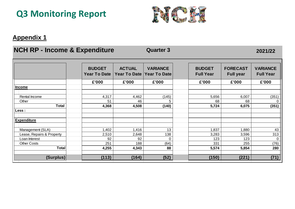

#### **Appendix 1**

#### **NCH RP - Income & Expenditure Quarter 3 2021/22**

|                           | <b>BUDGET</b><br><b>Year To Date</b> | <b>ACTUAL</b><br><b>Year To Date</b> | <b>VARIANCE</b><br><b>Year To Date</b> | <b>BUDGET</b><br><b>Full Year</b> | <b>FORECAST</b><br><b>Full year</b> | <b>VARIANCE</b><br><b>Full Year</b> |
|---------------------------|--------------------------------------|--------------------------------------|----------------------------------------|-----------------------------------|-------------------------------------|-------------------------------------|
|                           | £'000                                | £'000                                | £'000                                  | £'000                             | £'000                               | £'000                               |
| <b>Income</b>             |                                      |                                      |                                        |                                   |                                     |                                     |
|                           |                                      |                                      |                                        |                                   |                                     |                                     |
| Rental Income             | 4,317                                | 4,462                                | (145)                                  | 5,656                             | 6,007                               | (351)                               |
| Other                     | 51                                   | 46                                   | 5                                      | 68                                | 68                                  | 0                                   |
| <b>Total</b>              | 4,368                                | 4,508                                | (140)                                  | 5,724                             | 6,075                               | (351)                               |
| Less :                    |                                      |                                      |                                        |                                   |                                     |                                     |
|                           |                                      |                                      |                                        |                                   |                                     |                                     |
| <b>Expenditure</b>        |                                      |                                      |                                        |                                   |                                     |                                     |
|                           |                                      |                                      |                                        |                                   |                                     |                                     |
| Management (SLA)          | ,402                                 | 1,416                                | 13                                     | 1,837                             | 1,880                               | 43                                  |
| Lease, Repairs & Property | 2,510                                | 2,648                                | 138                                    | 3,283                             | 3,596                               | 313                                 |
| Loan Interest             | 92                                   | 92                                   | $\Omega$                               | 123                               | 123                                 | 0                                   |
| <b>Other Costs</b>        | 251                                  | 188                                  | (64)                                   | 331                               | 255                                 | (76)                                |
| <b>Total</b>              | 4,255                                | 4,343                                | 88                                     | 5,574                             | 5,854                               | 280                                 |
|                           |                                      |                                      |                                        |                                   |                                     |                                     |
| (Surplus)                 | (113)                                | (164)                                | (52)                                   | (150)                             | (221)                               | (71)                                |
|                           |                                      |                                      |                                        |                                   |                                     |                                     |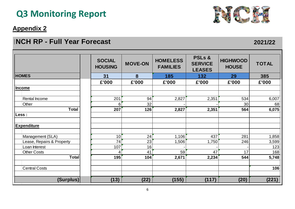#### **Appendix 2**

#### **FORECAST OUTSTAN POSITION INCH RP - Full Year Forecast <b>2021/22 2021/22 2021/22**



| <b>NCH RP - Full Year Forecast</b> |                                 |                |                                    |                                                      |                                       |              |  |
|------------------------------------|---------------------------------|----------------|------------------------------------|------------------------------------------------------|---------------------------------------|--------------|--|
|                                    | <b>SOCIAL</b><br><b>HOUSING</b> | <b>MOVE-ON</b> | <b>HOMELESS</b><br><b>FAMILIES</b> | <b>PSLs &amp;</b><br><b>SERVICE</b><br><b>LEASES</b> | <b>HIGHWOOD</b><br><b>HOUSE</b><br>29 | <b>TOTAL</b> |  |
| <b>HOMES</b>                       | 31                              | 8              | 185                                | 132                                                  |                                       | 385          |  |
|                                    | £'000                           | £'000          | £'000                              | £'000                                                | £'000                                 | £'000        |  |
| <b>Income</b>                      |                                 |                |                                    |                                                      |                                       |              |  |
|                                    |                                 |                |                                    |                                                      |                                       |              |  |
| <b>Rental Income</b>               | 201                             | 94             | 2,827                              | 2,351                                                | 534                                   | 6,007        |  |
| Other                              | 6                               | 32             |                                    |                                                      | 30                                    | 68           |  |
| <b>Total</b>                       | 207                             | 126            | 2,827                              | 2,351                                                | 564                                   | 6,075        |  |
| Less :                             |                                 |                |                                    |                                                      |                                       |              |  |
| <b>Expenditure</b>                 |                                 |                |                                    |                                                      |                                       |              |  |
| Management (SLA)                   | 10                              | 24             | 1,106                              | 437                                                  | 281                                   | 1,858        |  |
| Lease, Repairs & Property          | 74                              | 23             | 1,506                              | 1,750                                                | 246                                   | 3,599        |  |
| Loan Interest                      | 107                             | 16             |                                    |                                                      |                                       | 123          |  |
| <b>Other Costs</b>                 | 4                               | 41             | 59                                 | 47                                                   | 17                                    | 168          |  |
| <b>Total</b>                       | 195                             | 104            | 2,671                              | 2,234                                                | 544                                   | 5,748        |  |
| <b>Central Costs</b>               |                                 |                |                                    |                                                      |                                       | 106          |  |
| (Surplus)                          | (13)                            | (22)           | (155)                              | (117)                                                | (20)                                  | (221)        |  |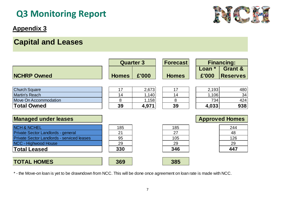#### **Appendix 3**

### **Capital and Leases**

|                                                   | <b>Quarter 3</b> |       | <b>Forecast</b> | <b>Financing:</b> |                       |
|---------------------------------------------------|------------------|-------|-----------------|-------------------|-----------------------|
|                                                   |                  |       |                 | Loan $*$          | <b>Grant &amp;</b>    |
| <b>NCHRP Owned</b>                                | <b>Homes</b>     | £'000 | <b>Homes</b>    | £'000             | <b>Reserves</b>       |
|                                                   |                  |       |                 |                   |                       |
| <b>Church Square</b>                              | 17               | 2,673 | 17              | 2,193             | 480                   |
| <b>Martin's Reach</b>                             | 14               | 1,140 | 14              | 1,106             | 34                    |
| <b>Move On Accommodation</b>                      | 8                | 1,158 | 8               | 734               | 424                   |
| <b>Total Owned</b>                                | 39               | 4,971 | 39              | 4,033             | 938                   |
|                                                   |                  |       |                 |                   |                       |
| <b>Managed under leases</b>                       |                  |       |                 |                   | <b>Approved Homes</b> |
| <b>NCH &amp; NCHEL</b>                            | 185              |       | 185             |                   | 244                   |
| Private Sector Landlords - general                | 21               |       | 27              |                   | 48                    |
| <b>Private Sector Landlords - serviced leases</b> | 95               |       | 105             |                   | 126                   |
| NCC - Highwood House                              | 29               |       | 29              |                   | 29                    |
| <b>Total Leased</b>                               | 330              |       | 346             |                   | 447                   |
|                                                   |                  |       |                 |                   |                       |
| <b>TOTAL HOMES</b>                                | 369              |       | 385             |                   |                       |

\* - the Move-on loan is yet to be drawndown from NCC. This will be done once agreement on loan rate is made with NCC.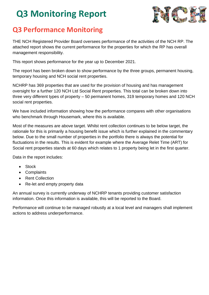

#### **Q3 Performance Monitoring**

THE NCH Registered Provider Board oversees performance of the activities of the NCH RP. The attached report shows the current performance for the properties for which the RP has overall management responsibility.

This report shows performance for the year up to December 2021.

The report has been broken down to show performance by the three groups, permanent housing, temporary housing and NCH social rent properties.

NCHRP has 369 properties that are used for the provision of housing and has management oversight for a further 120 NCH Ltd Social Rent properties. This total can be broken down into three very different types of property – 50 permanent homes, 319 temporary homes and 120 NCH social rent properties.

We have included information showing how the performance compares with other organisations who benchmark through Housemark, where this is available.

Most of the measures are above target. Whilst rent collection continues to be below target, the rationale for this is primarily a housing benefit issue which is further explained in the commentary below. Due to the small number of properties in the portfolio there is always the potential for fluctuations in the results. This is evident for example where the Average Relet Time (ART) for Social rent properties stands at 60 days which relates to 1 property being let in the first quarter.

Data in the report includes:

- Stock
- Complaints
- Rent Collection
- Re-let and empty property data

An annual survey is currently underway of NCHRP tenants providing customer satisfaction information. Once this information is available, this will be reported to the Board.

Performance will continue to be managed robustly at a local level and managers shall implement actions to address underperformance.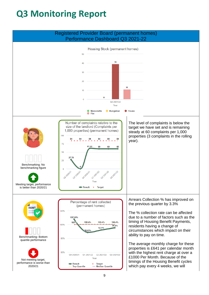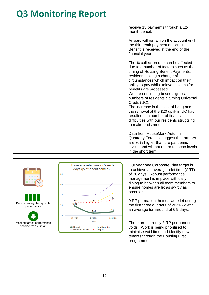|                                                                                                  | receive 13 payments through a 12-                                                                                                                                                                                                                                                                                                                                                                                                                                                                                                                                      |
|--------------------------------------------------------------------------------------------------|------------------------------------------------------------------------------------------------------------------------------------------------------------------------------------------------------------------------------------------------------------------------------------------------------------------------------------------------------------------------------------------------------------------------------------------------------------------------------------------------------------------------------------------------------------------------|
|                                                                                                  | month period.                                                                                                                                                                                                                                                                                                                                                                                                                                                                                                                                                          |
|                                                                                                  | Arrears will remain on the account until<br>the thirteenth payment of Housing<br>Benefit is received at the end of the<br>financial year.                                                                                                                                                                                                                                                                                                                                                                                                                              |
|                                                                                                  | The % collection rate can be affected<br>due to a number of factors such as the<br>timing of Housing Benefit Payments,<br>residents having a change of<br>circumstances which impact on their<br>ability to pay whilst relevant claims for<br>benefits are processed.<br>We are continuing to see significant<br>numbers of residents claiming Universal<br>Credit (UC).<br>The increase in the cost of living and<br>the removal of the £20 uplift in UC has<br>resulted in a number of financial<br>difficulties with our residents struggling<br>to make ends meet. |
|                                                                                                  | Data from HouseMark Autumn<br>Quarterly Forecast suggest that arrears<br>are 30% higher than pre pandemic<br>levels, and will not return to these levels<br>in the short term.                                                                                                                                                                                                                                                                                                                                                                                         |
|                                                                                                  |                                                                                                                                                                                                                                                                                                                                                                                                                                                                                                                                                                        |
| 80<br>60<br>40                                                                                   | Full average relet time - Calendar<br>Our year one Corporate Plan target is<br>days (permanent homes)<br>to achieve an average relet time (ART)<br>of 30 days. Robust performance<br>management is in place with daily<br>dialogue between all team members to<br>ensure homes are let as swiftly as<br>possible.                                                                                                                                                                                                                                                      |
| Benchmarking: Top quartile<br>18.02<br>20<br>performance<br>$\Omega$                             | 30<br>9 RP permanent homes were let during<br>25<br>the first three quarters of 2021/22 with<br>an average turnaround of 6.9 days.<br>6.9<br>4.53                                                                                                                                                                                                                                                                                                                                                                                                                      |
| 2019/20<br>Meeting target, performance<br>is worse than 2020/21<br>■ Result<br>- Median Quartile | 2020/21<br>2021/22<br>Year<br>There are currently 2 RP permanent<br>- Top Quartile<br>voids. Work is being prioritised to<br>• Target<br>minimise void time and identify new<br>tenants through the Housing First<br>programme.                                                                                                                                                                                                                                                                                                                                        |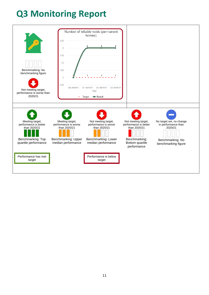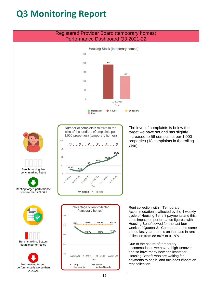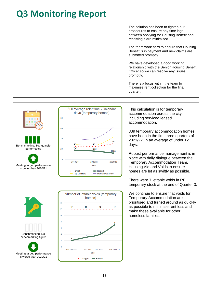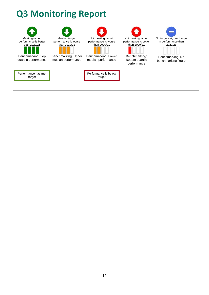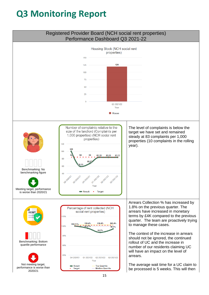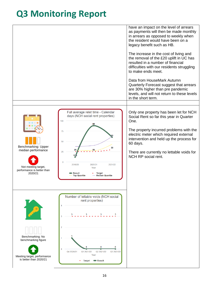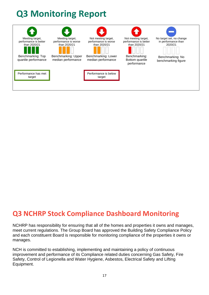

#### **Q3 NCHRP Stock Compliance Dashboard Monitoring**

NCHRP has responsibility for ensuring that all of the homes and properties it owns and manages, meet current regulations. The Group Board has approved the Building Safety Compliance Policy and each constituent Board is responsible for monitoring compliance of the properties it owns or manages.

NCH is committed to establishing, implementing and maintaining a policy of continuous improvement and performance of its Compliance related duties concerning Gas Safety, Fire Safety, Control of Legionella and Water Hygiene, Asbestos, Electrical Safety and Lifting Equipment.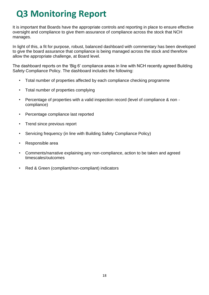It is important that Boards have the appropriate controls and reporting in place to ensure effective oversight and compliance to give them assurance of compliance across the stock that NCH manages.

In light of this, a fit for purpose, robust, balanced dashboard with commentary has been developed to give the board assurance that compliance is being managed across the stock and therefore allow the appropriate challenge, at Board level.

The dashboard reports on the 'Big 6' compliance areas in line with NCH recently agreed Building Safety Compliance Policy. The dashboard includes the following:

- Total number of properties affected by each compliance checking programme
- Total number of properties complying
- Percentage of properties with a valid inspection record (level of compliance & non compliance)
- Percentage compliance last reported
- Trend since previous report
- Servicing frequency (in line with Building Safety Compliance Policy)
- Responsible area
- Comments/narrative explaining any non-compliance, action to be taken and agreed timescales/outcomes
- Red & Green (compliant/non-compliant) indicators